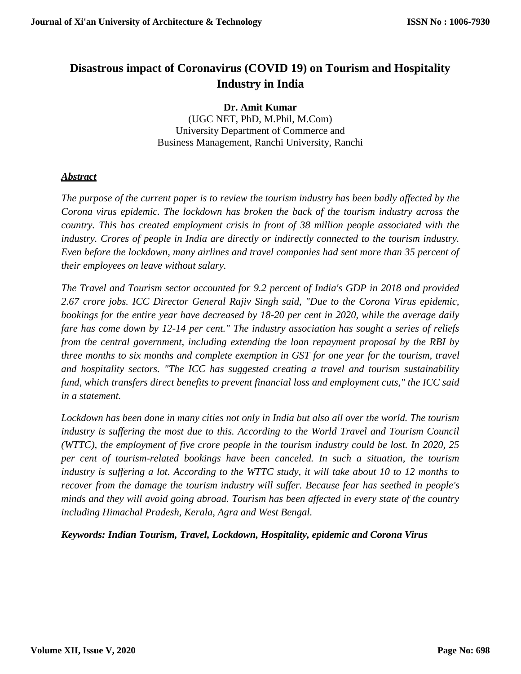# **Disastrous impact of Coronavirus (COVID 19) on Tourism and Hospitality Industry in India**

# **Dr. Amit Kumar**

(UGC NET, PhD, M.Phil, M.Com) University Department of Commerce and Business Management, Ranchi University, Ranchi

# *Abstract*

*The purpose of the current paper is to review the tourism industry has been badly affected by the Corona virus epidemic. The lockdown has broken the back of the tourism industry across the country. This has created employment crisis in front of 38 million people associated with the industry. Crores of people in India are directly or indirectly connected to the tourism industry. Even before the lockdown, many airlines and travel companies had sent more than 35 percent of their employees on leave without salary.*

*The Travel and Tourism sector accounted for 9.2 percent of India's GDP in 2018 and provided 2.67 crore jobs. ICC Director General Rajiv Singh said, "Due to the Corona Virus epidemic, bookings for the entire year have decreased by 18-20 per cent in 2020, while the average daily fare has come down by 12-14 per cent." The industry association has sought a series of reliefs from the central government, including extending the loan repayment proposal by the RBI by three months to six months and complete exemption in GST for one year for the tourism, travel and hospitality sectors. "The ICC has suggested creating a travel and tourism sustainability fund, which transfers direct benefits to prevent financial loss and employment cuts," the ICC said in a statement.*

*Lockdown has been done in many cities not only in India but also all over the world. The tourism industry is suffering the most due to this. According to the World Travel and Tourism Council (WTTC), the employment of five crore people in the tourism industry could be lost. In 2020, 25 per cent of tourism-related bookings have been canceled. In such a situation, the tourism*  industry is suffering a lot. According to the WTTC study, it will take about 10 to 12 months to *recover from the damage the tourism industry will suffer. Because fear has seethed in people's minds and they will avoid going abroad. Tourism has been affected in every state of the country including Himachal Pradesh, Kerala, Agra and West Bengal.*

*Keywords: Indian Tourism, Travel, Lockdown, Hospitality, epidemic and Corona Virus*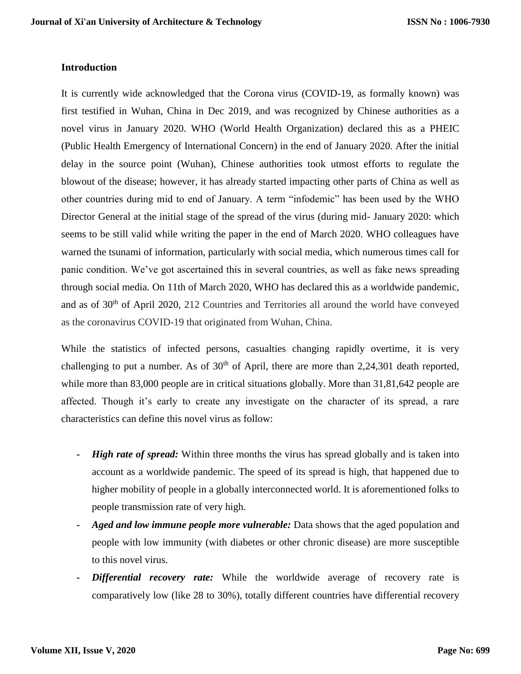#### **Introduction**

It is currently wide acknowledged that the Corona virus (COVID-19, as formally known) was first testified in Wuhan, China in Dec 2019, and was recognized by Chinese authorities as a novel virus in January 2020. WHO (World Health Organization) declared this as a PHEIC (Public Health Emergency of International Concern) in the end of January 2020. After the initial delay in the source point (Wuhan), Chinese authorities took utmost efforts to regulate the blowout of the disease; however, it has already started impacting other parts of China as well as other countries during mid to end of January. A term "infodemic" has been used by the WHO Director General at the initial stage of the spread of the virus (during mid- January 2020: which seems to be still valid while writing the paper in the end of March 2020. WHO colleagues have warned the tsunami of information, particularly with social media, which numerous times call for panic condition. We've got ascertained this in several countries, as well as fake news spreading through social media. On 11th of March 2020, WHO has declared this as a worldwide pandemic, and as of 30<sup>th</sup> of April 2020, 212 Countries and Territories all around the world have conveyed as the coronavirus COVID-19 that originated from Wuhan, China.

While the statistics of infected persons, casualties changing rapidly overtime, it is very challenging to put a number. As of  $30<sup>th</sup>$  of April, there are more than 2,24,301 death reported, while more than 83,000 people are in critical situations globally. More than 31,81,642 people are affected. Though it's early to create any investigate on the character of its spread, a rare characteristics can define this novel virus as follow:

- *- High rate of spread:* Within three months the virus has spread globally and is taken into account as a worldwide pandemic. The speed of its spread is high, that happened due to higher mobility of people in a globally interconnected world. It is aforementioned folks to people transmission rate of very high.
- *- Aged and low immune people more vulnerable:* Data shows that the aged population and people with low immunity (with diabetes or other chronic disease) are more susceptible to this novel virus.
- **Differential recovery rate:** While the worldwide average of recovery rate is comparatively low (like 28 to 30%), totally different countries have differential recovery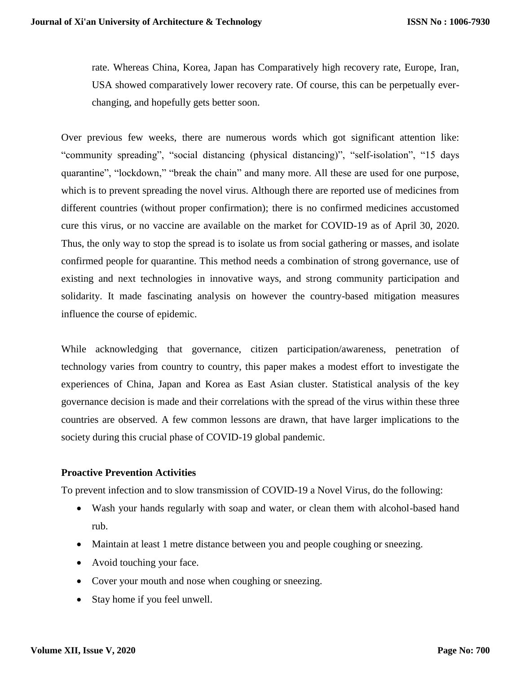rate. Whereas China, Korea, Japan has Comparatively high recovery rate, Europe, Iran, USA showed comparatively lower recovery rate. Of course, this can be perpetually everchanging, and hopefully gets better soon.

Over previous few weeks, there are numerous words which got significant attention like: "community spreading", "social distancing (physical distancing)", "self-isolation", "15 days quarantine", "lockdown," "break the chain" and many more. All these are used for one purpose, which is to prevent spreading the novel virus. Although there are reported use of medicines from different countries (without proper confirmation); there is no confirmed medicines accustomed cure this virus, or no vaccine are available on the market for COVID-19 as of April 30, 2020. Thus, the only way to stop the spread is to isolate us from social gathering or masses, and isolate confirmed people for quarantine. This method needs a combination of strong governance, use of existing and next technologies in innovative ways, and strong community participation and solidarity. It made fascinating analysis on however the country-based mitigation measures influence the course of epidemic.

While acknowledging that governance, citizen participation/awareness, penetration of technology varies from country to country, this paper makes a modest effort to investigate the experiences of China, Japan and Korea as East Asian cluster. Statistical analysis of the key governance decision is made and their correlations with the spread of the virus within these three countries are observed. A few common lessons are drawn, that have larger implications to the society during this crucial phase of COVID-19 global pandemic.

# **Proactive Prevention Activities**

To prevent infection and to slow transmission of COVID-19 a Novel Virus, do the following:

- Wash your hands regularly with soap and water, or clean them with alcohol-based hand rub.
- Maintain at least 1 metre distance between you and people coughing or sneezing.
- Avoid touching your face.
- Cover your mouth and nose when coughing or sneezing.
- Stay home if you feel unwell.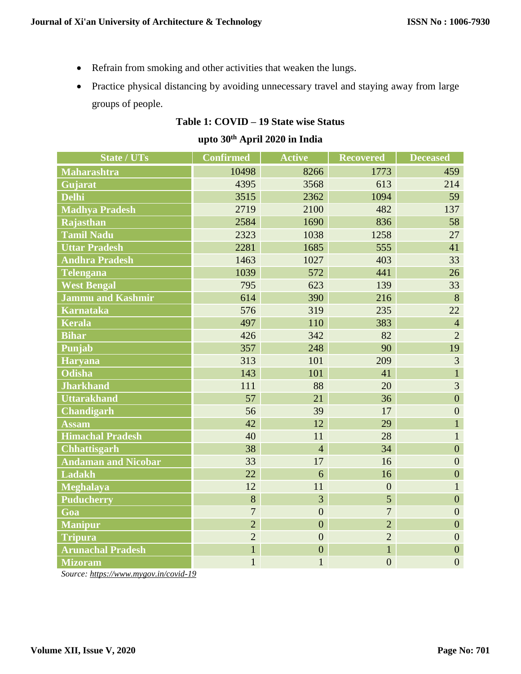- Refrain from smoking and other activities that weaken the lungs.
- Practice physical distancing by avoiding unnecessary travel and staying away from large groups of people.

# **Table 1: COVID – 19 State wise Status**

# **upto 30th April 2020 in India**

| State / UTs                | <b>Confirmed</b> | <b>Active</b>  | <b>Recovered</b> | <b>Deceased</b>  |
|----------------------------|------------------|----------------|------------------|------------------|
| Maharashtra                | 10498            | 8266           | 1773             | 459              |
| Gujarat                    | 4395             | 3568           | 613              | 214              |
| <b>Delhi</b>               | 3515             | 2362           | 1094             | 59               |
| <b>Madhya Pradesh</b>      | 2719             | 2100           | 482              | 137              |
| Rajasthan                  | 2584             | 1690           | 836              | 58               |
| <b>Tamil Nadu</b>          | 2323             | 1038           | 1258             | 27               |
| <b>Uttar Pradesh</b>       | 2281             | 1685           | 555              | 41               |
| <b>Andhra Pradesh</b>      | 1463             | 1027           | 403              | 33               |
| <b>Telengana</b>           | 1039             | 572            | 441              | 26               |
| <b>West Bengal</b>         | 795              | 623            | 139              | 33               |
| <b>Jammu and Kashmir</b>   | 614              | 390            | 216              | 8                |
| <b>Karnataka</b>           | 576              | 319            | 235              | 22               |
| <b>Kerala</b>              | 497              | 110            | 383              | $\overline{4}$   |
| <b>Bihar</b>               | 426              | 342            | 82               | $\overline{2}$   |
| Punjab                     | 357              | 248            | 90               | 19               |
| <b>Haryana</b>             | 313              | 101            | 209              | 3                |
| <b>Odisha</b>              | 143              | 101            | 41               | $\mathbf{1}$     |
| <b>Jharkhand</b>           | 111              | 88             | 20               | 3                |
| <b>Uttarakhand</b>         | 57               | 21             | 36               | $\overline{0}$   |
| <b>Chandigarh</b>          | 56               | 39             | 17               | $\boldsymbol{0}$ |
| <b>Assam</b>               | 42               | 12             | 29               | $\mathbf{1}$     |
| <b>Himachal Pradesh</b>    | 40               | 11             | 28               | $\mathbf{1}$     |
| <b>Chhattisgarh</b>        | 38               | $\overline{4}$ | 34               | $\overline{0}$   |
| <b>Andaman and Nicobar</b> | 33               | 17             | 16               | $\overline{0}$   |
| <b>Ladakh</b>              | 22               | 6              | 16               | $\overline{0}$   |
| <b>Meghalaya</b>           | 12               | 11             | $\overline{0}$   | $\mathbf{1}$     |
| <b>Puducherry</b>          | 8                | 3              | $\overline{5}$   | $\boldsymbol{0}$ |
| Goa                        | $\overline{7}$   | $\overline{0}$ | $\overline{7}$   | $\overline{0}$   |
| <b>Manipur</b>             | $\overline{2}$   | $\overline{0}$ | $\overline{2}$   | $\overline{0}$   |
| <b>Tripura</b>             | $\overline{2}$   | $\overline{0}$ | $\overline{2}$   | $\overline{0}$   |
| <b>Arunachal Pradesh</b>   | $\mathbf{1}$     | $\mathbf{0}$   | $\mathbf{1}$     | $\boldsymbol{0}$ |
| <b>Mizoram</b>             | $\mathbf{1}$     | $\overline{1}$ | $\overline{0}$   | $\overline{0}$   |

*Source: <https://www.mygov.in/covid-19>*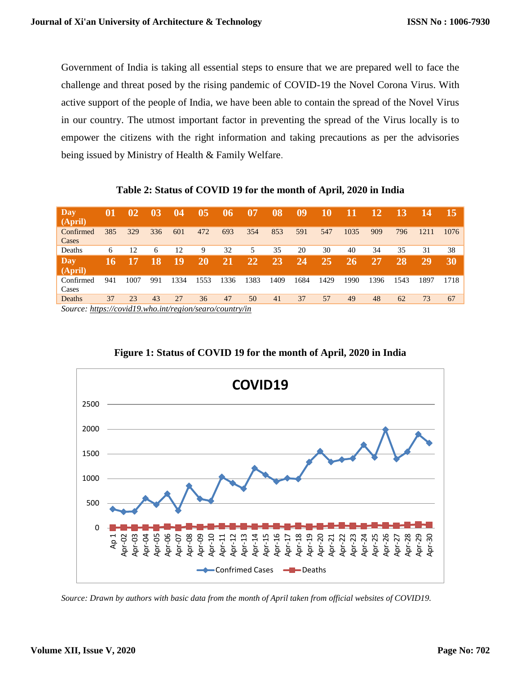Government of India is taking all essential steps to ensure that we are prepared well to face the challenge and threat posed by the rising pandemic of COVID-19 the Novel Corona Virus. With active support of the people of India, we have been able to contain the spread of the Novel Virus in our country. The utmost important factor in preventing the spread of the Virus locally is to empower the citizens with the right information and taking precautions as per the advisories being issued by Ministry of Health & Family Welfare.

| Day<br>(April)     | 01  | $\overline{02}$ | 03  | 04   | 05   | 06   | 07   | 08   | 09   | 10   | 11   | 12   | 13   | 14   | 15   |
|--------------------|-----|-----------------|-----|------|------|------|------|------|------|------|------|------|------|------|------|
| Confirmed<br>Cases | 385 | 329             | 336 | 601  | 472  | 693  | 354  | 853  | 591  | 547  | 1035 | 909  | 796  | 1211 | 1076 |
| Deaths             | 6   | 12              | 6   | 12   | 9    | 32   | 5    | 35   | 20   | 30   | 40   | 34   | 35   | 31   | 38   |
| Day<br>(April)     | 16  |                 | 18  | 19   | 20   | 21   | 22   | 23   | 24   | 25   | 26   | 27   | 28   | 29   | 30   |
| Confirmed<br>Cases | 941 | 1007            | 991 | 1334 | 1553 | 1336 | 1383 | 1409 | 1684 | 1429 | 1990 | 1396 | 1543 | 1897 | 1718 |
| Deaths             | 37  | 23              | 43  | 27   | 36   | 47   | 50   | 41   | 37   | 57   | 49   | 48   | 62   | 73   | 67   |

**Table 2: Status of COVID 19 for the month of April, 2020 in India**

*Source[: https://covid19.who.int/region/searo/country/in](https://covid19.who.int/region/searo/country/in)*



**Figure 1: Status of COVID 19 for the month of April, 2020 in India**

*Source: Drawn by authors with basic data from the month of April taken from official websites of COVID19.*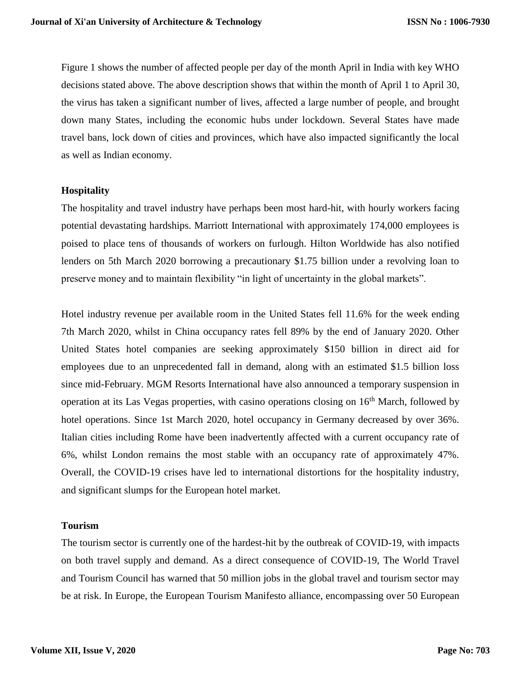Figure 1 shows the number of affected people per day of the month April in India with key WHO decisions stated above. The above description shows that within the month of April 1 to April 30, the virus has taken a significant number of lives, affected a large number of people, and brought down many States, including the economic hubs under lockdown. Several States have made travel bans, lock down of cities and provinces, which have also impacted significantly the local as well as Indian economy.

### **Hospitality**

The hospitality and travel industry have perhaps been most hard-hit, with hourly workers facing potential devastating hardships. Marriott International with approximately 174,000 employees is poised to place tens of thousands of workers on furlough. Hilton Worldwide has also notified lenders on 5th March 2020 borrowing a precautionary \$1.75 billion under a revolving loan to preserve money and to maintain flexibility "in light of uncertainty in the global markets".

Hotel industry revenue per available room in the United States fell 11.6% for the week ending 7th March 2020, whilst in China occupancy rates fell 89% by the end of January 2020. Other United States hotel companies are seeking approximately \$150 billion in direct aid for employees due to an unprecedented fall in demand, along with an estimated \$1.5 billion loss since mid-February. MGM Resorts International have also announced a temporary suspension in operation at its Las Vegas properties, with casino operations closing on 16th March, followed by hotel operations. Since 1st March 2020, hotel occupancy in Germany decreased by over 36%. Italian cities including Rome have been inadvertently affected with a current occupancy rate of 6%, whilst London remains the most stable with an occupancy rate of approximately 47%. Overall, the COVID-19 crises have led to international distortions for the hospitality industry, and significant slumps for the European hotel market.

#### **Tourism**

The tourism sector is currently one of the hardest-hit by the outbreak of COVID-19, with impacts on both travel supply and demand. As a direct consequence of COVID-19, The World Travel and Tourism Council has warned that 50 million jobs in the global travel and tourism sector may be at risk. In Europe, the European Tourism Manifesto alliance, encompassing over 50 European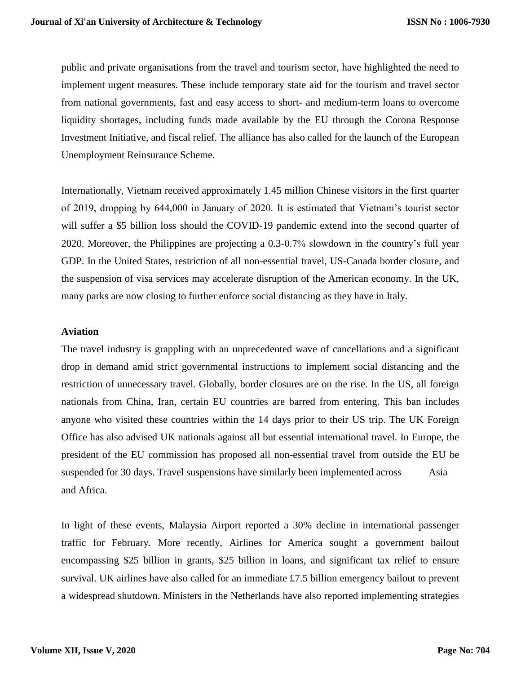public and private organisations from the travel and tourism sector, have highlighted the need to implement urgent measures. These include temporary state aid for the tourism and travel sector from national governments, fast and easy access to short- and medium-term loans to overcome liquidity shortages, including funds made available by the EU through the Corona Response Investment Initiative, and fiscal relief. The alliance has also called for the launch of the European Unemployment Reinsurance Scheme.

Internationally, Vietnam received approximately 1.45 million Chinese visitors in the first quarter of 2019, dropping by 644,000 in January of 2020. It is estimated that Vietnam's tourist sector will suffer a \$5 billion loss should the COVID-19 pandemic extend into the second quarter of 2020. Moreover, the Philippines are projecting a 0.3-0.7% slowdown in the country's full year GDP. In the United States, restriction of all non-essential travel, US-Canada border closure, and the suspension of visa services may accelerate disruption of the American economy. In the UK, many parks are now closing to further enforce social distancing as they have in Italy.

### **Aviation**

The travel industry is grappling with an unprecedented wave of cancellations and a significant drop in demand amid strict governmental instructions to implement social distancing and the restriction of unnecessary travel. Globally, border closures are on the rise. In the US, all foreign nationals from China, Iran, certain EU countries are barred from entering. This ban includes anyone who visited these countries within the 14 days prior to their US trip. The UK Foreign Office has also advised UK nationals against all but essential international travel. In Europe, the president of the EU commission has proposed all non-essential travel from outside the EU be suspended for 30 days. Travel suspensions have similarly been implemented across Asia and Africa.

In light of these events, Malaysia Airport reported a 30% decline in international passenger traffic for February. More recently, Airlines for America sought a government bailout encompassing \$25 billion in grants, \$25 billion in loans, and significant tax relief to ensure survival. UK airlines have also called for an immediate £7.5 billion emergency bailout to prevent a widespread shutdown. Ministers in the Netherlands have also reported implementing strategies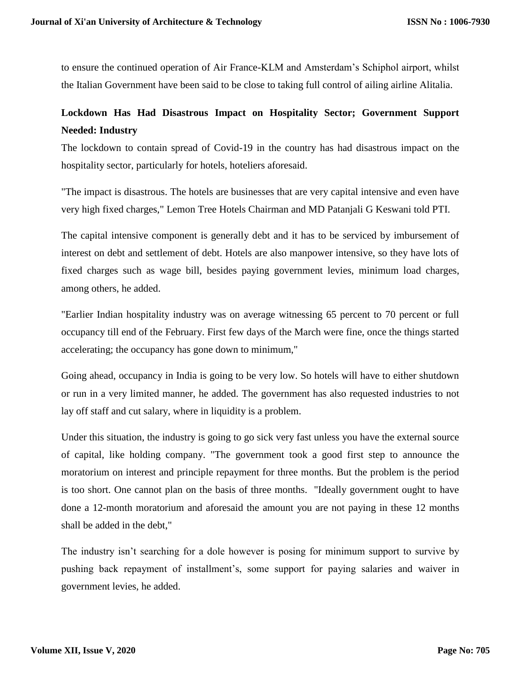to ensure the continued operation of Air France-KLM and Amsterdam's Schiphol airport, whilst the Italian Government have been said to be close to taking full control of ailing airline Alitalia.

# **Lockdown Has Had Disastrous Impact on Hospitality Sector; Government Support Needed: Industry**

The lockdown to contain spread of Covid-19 in the country has had disastrous impact on the hospitality sector, particularly for hotels, hoteliers aforesaid.

"The impact is disastrous. The hotels are businesses that are very capital intensive and even have very high fixed charges," Lemon Tree Hotels Chairman and MD Patanjali G Keswani told PTI.

The capital intensive component is generally debt and it has to be serviced by imbursement of interest on debt and settlement of debt. Hotels are also manpower intensive, so they have lots of fixed charges such as wage bill, besides paying government levies, minimum load charges, among others, he added.

"Earlier Indian hospitality industry was on average witnessing 65 percent to 70 percent or full occupancy till end of the February. First few days of the March were fine, once the things started accelerating; the occupancy has gone down to minimum,"

Going ahead, occupancy in India is going to be very low. So hotels will have to either shutdown or run in a very limited manner, he added. The government has also requested industries to not lay off staff and cut salary, where in liquidity is a problem.

Under this situation, the industry is going to go sick very fast unless you have the external source of capital, like holding company. "The government took a good first step to announce the moratorium on interest and principle repayment for three months. But the problem is the period is too short. One cannot plan on the basis of three months. "Ideally government ought to have done a 12-month moratorium and aforesaid the amount you are not paying in these 12 months shall be added in the debt,"

The industry isn't searching for a dole however is posing for minimum support to survive by pushing back repayment of installment's, some support for paying salaries and waiver in government levies, he added.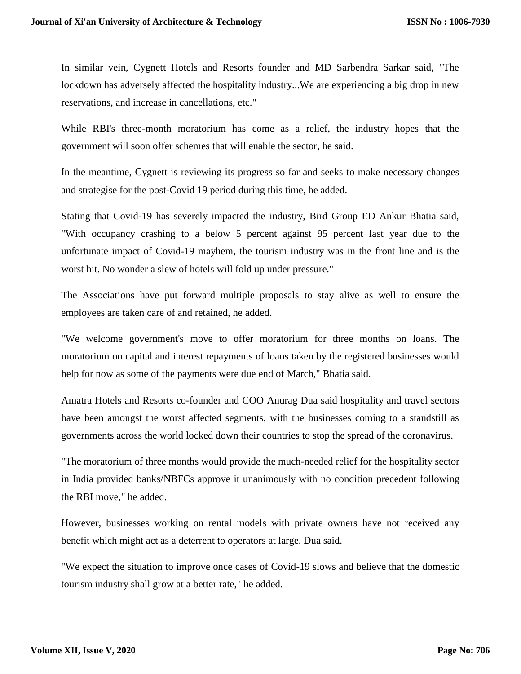In similar vein, Cygnett Hotels and Resorts founder and MD Sarbendra Sarkar said, "The lockdown has adversely affected the hospitality industry...We are experiencing a big drop in new reservations, and increase in cancellations, etc."

While RBI's three-month moratorium has come as a relief, the industry hopes that the government will soon offer schemes that will enable the sector, he said.

In the meantime, Cygnett is reviewing its progress so far and seeks to make necessary changes and strategise for the post-Covid 19 period during this time, he added.

Stating that Covid-19 has severely impacted the industry, Bird Group ED Ankur Bhatia said, "With occupancy crashing to a below 5 percent against 95 percent last year due to the unfortunate impact of Covid-19 mayhem, the tourism industry was in the front line and is the worst hit. No wonder a slew of hotels will fold up under pressure."

The Associations have put forward multiple proposals to stay alive as well to ensure the employees are taken care of and retained, he added.

"We welcome government's move to offer moratorium for three months on loans. The moratorium on capital and interest repayments of loans taken by the registered businesses would help for now as some of the payments were due end of March," Bhatia said.

Amatra Hotels and Resorts co-founder and COO Anurag Dua said hospitality and travel sectors have been amongst the worst affected segments, with the businesses coming to a standstill as governments across the world locked down their countries to stop the spread of the coronavirus.

"The moratorium of three months would provide the much-needed relief for the hospitality sector in India provided banks/NBFCs approve it unanimously with no condition precedent following the RBI move," he added.

However, businesses working on rental models with private owners have not received any benefit which might act as a deterrent to operators at large, Dua said.

"We expect the situation to improve once cases of Covid-19 slows and believe that the domestic tourism industry shall grow at a better rate," he added.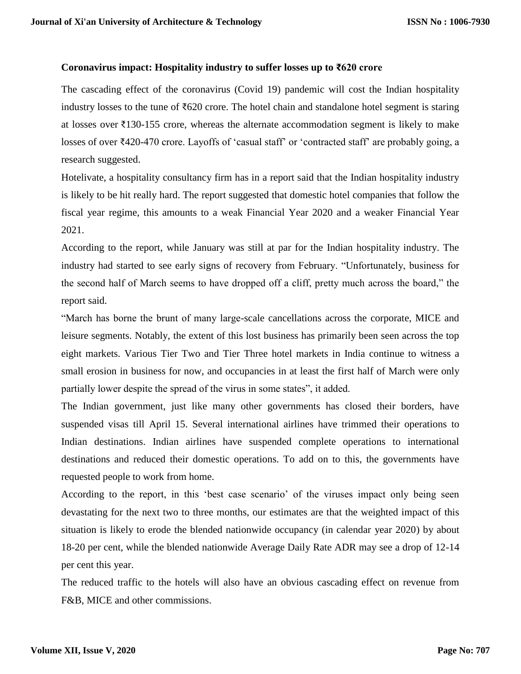### **Coronavirus impact: Hospitality industry to suffer losses up to ₹620 crore**

The cascading effect of the coronavirus (Covid 19) pandemic will cost the Indian hospitality industry losses to the tune of  $\bar{\xi}620$  crore. The hotel chain and standalone hotel segment is staring at losses over  $\bar{\tau}$ 130-155 crore, whereas the alternate accommodation segment is likely to make losses of over ₹420-470 crore. Layoffs of 'casual staff' or 'contracted staff' are probably going, a research suggested.

Hotelivate, a hospitality consultancy firm has in a report said that the Indian hospitality industry is likely to be hit really hard. The report suggested that domestic hotel companies that follow the fiscal year regime, this amounts to a weak Financial Year 2020 and a weaker Financial Year 2021.

According to the report, while January was still at par for the Indian hospitality industry. The industry had started to see early signs of recovery from February. "Unfortunately, business for the second half of March seems to have dropped off a cliff, pretty much across the board," the report said.

"March has borne the brunt of many large-scale cancellations across the corporate, MICE and leisure segments. Notably, the extent of this lost business has primarily been seen across the top eight markets. Various Tier Two and Tier Three hotel markets in India continue to witness a small erosion in business for now, and occupancies in at least the first half of March were only partially lower despite the spread of the virus in some states", it added.

The Indian government, just like many other governments has closed their borders, have suspended visas till April 15. Several international airlines have trimmed their operations to Indian destinations. Indian airlines have suspended complete operations to international destinations and reduced their domestic operations. To add on to this, the governments have requested people to work from home.

According to the report, in this 'best case scenario' of the viruses impact only being seen devastating for the next two to three months, our estimates are that the weighted impact of this situation is likely to erode the blended nationwide occupancy (in calendar year 2020) by about 18-20 per cent, while the blended nationwide Average Daily Rate ADR may see a drop of 12-14 per cent this year.

The reduced traffic to the hotels will also have an obvious cascading effect on revenue from F&B, MICE and other commissions.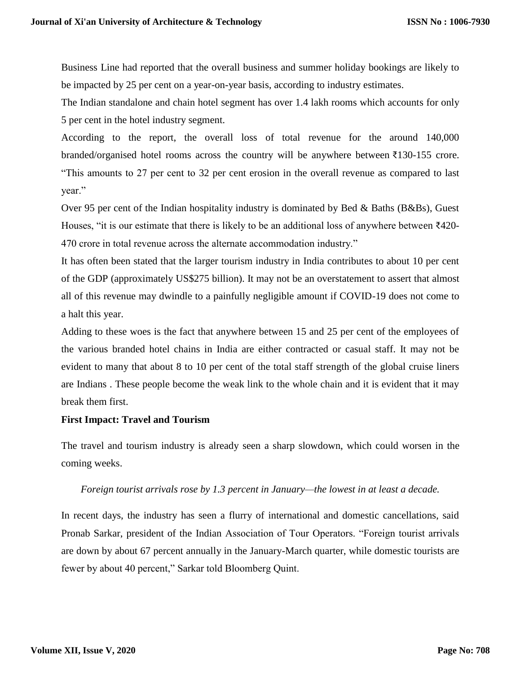Business Line had reported that the overall business and summer holiday bookings are likely to be impacted by 25 per cent on a year-on-year basis, according to industry estimates.

The Indian standalone and chain hotel segment has over 1.4 lakh rooms which accounts for only 5 per cent in the hotel industry segment.

According to the report, the overall loss of total revenue for the around 140,000 branded/organised hotel rooms across the country will be anywhere between ₹130-155 crore. "This amounts to 27 per cent to 32 per cent erosion in the overall revenue as compared to last year."

Over 95 per cent of the Indian hospitality industry is dominated by Bed & Baths (B&Bs), Guest Houses, "it is our estimate that there is likely to be an additional loss of anywhere between  $\overline{z}420$ -470 crore in total revenue across the alternate accommodation industry."

It has often been stated that the larger tourism industry in India contributes to about 10 per cent of the GDP (approximately US\$275 billion). It may not be an overstatement to assert that almost all of this revenue may dwindle to a painfully negligible amount if COVID-19 does not come to a halt this year.

Adding to these woes is the fact that anywhere between 15 and 25 per cent of the employees of the various branded hotel chains in India are either contracted or casual staff. It may not be evident to many that about 8 to 10 per cent of the total staff strength of the global cruise liners are Indians . These people become the weak link to the whole chain and it is evident that it may break them first.

# **First Impact: Travel and Tourism**

The travel and tourism industry is already seen a sharp slowdown, which could worsen in the coming weeks.

#### *Foreign tourist arrivals rose by 1.3 percent in January—the lowest in at least a decade.*

In recent days, the industry has seen a flurry of international and domestic cancellations, said Pronab Sarkar, president of the Indian Association of Tour Operators. "Foreign tourist arrivals are down by about 67 percent annually in the January-March quarter, while domestic tourists are fewer by about 40 percent," Sarkar told Bloomberg Quint.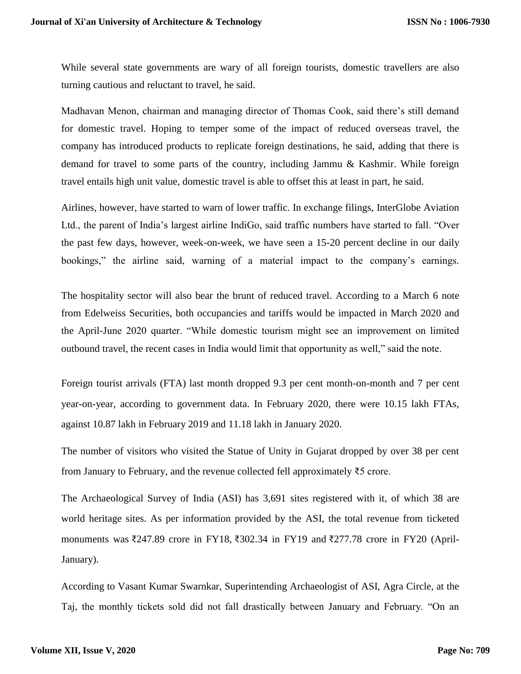While several state governments are wary of all foreign tourists, domestic travellers are also turning cautious and reluctant to travel, he said.

Madhavan Menon, chairman and managing director of Thomas Cook, said there's still demand for domestic travel. Hoping to temper some of the impact of reduced overseas travel, the company has introduced products to replicate foreign destinations, he said, adding that there is demand for travel to some parts of the country, including Jammu & Kashmir. While foreign travel entails high unit value, domestic travel is able to offset this at least in part, he said.

Airlines, however, have started to warn of lower traffic. In exchange filings, InterGlobe Aviation Ltd., the parent of India's largest airline IndiGo, said traffic numbers have started to fall. "Over the past few days, however, week-on-week, we have seen a 15-20 percent decline in our daily bookings," the airline said, warning of a material impact to the company's earnings.

The hospitality sector will also bear the brunt of reduced travel. According to a March 6 note from Edelweiss Securities, both occupancies and tariffs would be impacted in March 2020 and the April-June 2020 quarter. "While domestic tourism might see an improvement on limited outbound travel, the recent cases in India would limit that opportunity as well," said the note.

Foreign tourist arrivals (FTA) last month dropped 9.3 per cent month-on-month and 7 per cent year-on-year, according to government data. In February 2020, there were 10.15 lakh FTAs, against 10.87 lakh in February 2019 and 11.18 lakh in January 2020.

The number of visitors who visited the Statue of Unity in Gujarat dropped by over 38 per cent from January to February, and the revenue collected fell approximately ₹5 crore.

The Archaeological Survey of India (ASI) has 3,691 sites registered with it, of which 38 are world heritage sites. As per information provided by the ASI, the total revenue from ticketed monuments was ₹247.89 crore in FY18, ₹302.34 in FY19 and ₹277.78 crore in FY20 (April-January).

According to Vasant Kumar Swarnkar, Superintending Archaeologist of ASI, Agra Circle, at the Taj, the monthly tickets sold did not fall drastically between January and February. "On an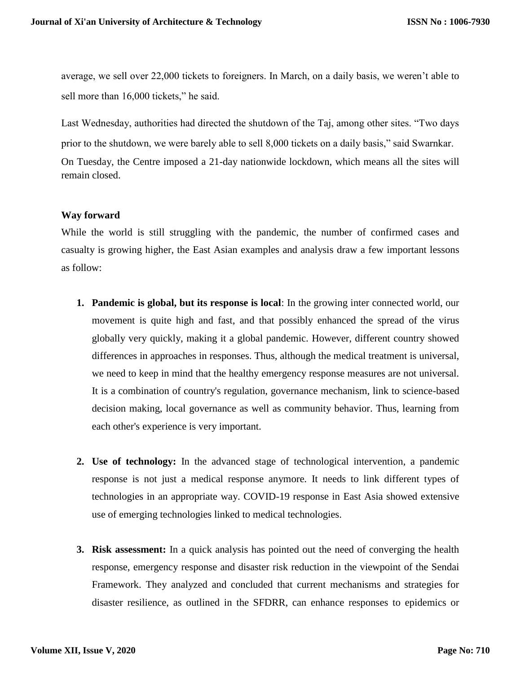average, we sell over 22,000 tickets to foreigners. In March, on a daily basis, we weren't able to sell more than 16,000 tickets," he said.

Last Wednesday, authorities had directed the shutdown of the Taj, among other sites. "Two days prior to the shutdown, we were barely able to sell 8,000 tickets on a daily basis," said Swarnkar. On Tuesday, the Centre imposed a 21-day nationwide lockdown, which means all the sites will remain closed.

# **Way forward**

While the world is still struggling with the pandemic, the number of confirmed cases and casualty is growing higher, the East Asian examples and analysis draw a few important lessons as follow:

- **1. Pandemic is global, but its response is local**: In the growing inter connected world, our movement is quite high and fast, and that possibly enhanced the spread of the virus globally very quickly, making it a global pandemic. However, different country showed differences in approaches in responses. Thus, although the medical treatment is universal, we need to keep in mind that the healthy emergency response measures are not universal. It is a combination of country's regulation, governance mechanism, link to science-based decision making, local governance as well as community behavior. Thus, learning from each other's experience is very important.
- **2. Use of technology:** In the advanced stage of technological intervention, a pandemic response is not just a medical response anymore. It needs to link different types of technologies in an appropriate way. COVID-19 response in East Asia showed extensive use of emerging technologies linked to medical technologies.
- **3. Risk assessment:** In a quick analysis has pointed out the need of converging the health response, emergency response and disaster risk reduction in the viewpoint of the Sendai Framework. They analyzed and concluded that current mechanisms and strategies for disaster resilience, as outlined in the SFDRR, can enhance responses to epidemics or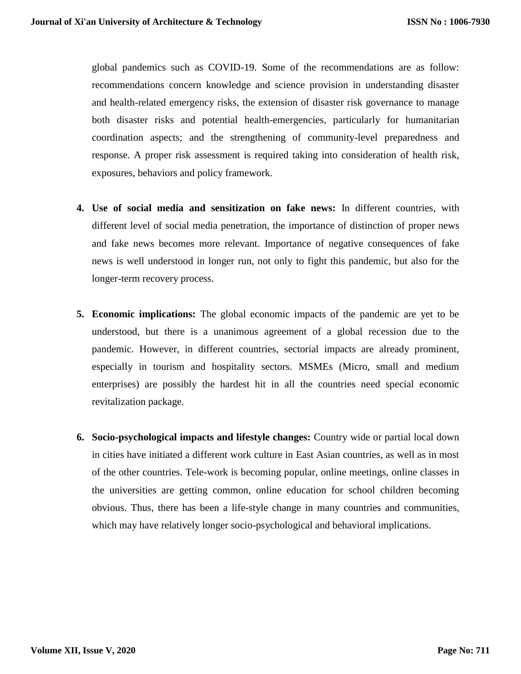global pandemics such as COVID-19. Some of the recommendations are as follow: recommendations concern knowledge and science provision in understanding disaster and health-related emergency risks, the extension of disaster risk governance to manage both disaster risks and potential health-emergencies, particularly for humanitarian coordination aspects; and the strengthening of community-level preparedness and response. A proper risk assessment is required taking into consideration of health risk, exposures, behaviors and policy framework.

- **4. Use of social media and sensitization on fake news:** In different countries, with different level of social media penetration, the importance of distinction of proper news and fake news becomes more relevant. Importance of negative consequences of fake news is well understood in longer run, not only to fight this pandemic, but also for the longer-term recovery process.
- **5. Economic implications:** The global economic impacts of the pandemic are yet to be understood, but there is a unanimous agreement of a global recession due to the pandemic. However, in different countries, sectorial impacts are already prominent, especially in tourism and hospitality sectors. MSMEs (Micro, small and medium enterprises) are possibly the hardest hit in all the countries need special economic revitalization package.
- **6. Socio-psychological impacts and lifestyle changes:** Country wide or partial local down in cities have initiated a different work culture in East Asian countries, as well as in most of the other countries. Tele-work is becoming popular, online meetings, online classes in the universities are getting common, online education for school children becoming obvious. Thus, there has been a life-style change in many countries and communities, which may have relatively longer socio-psychological and behavioral implications.